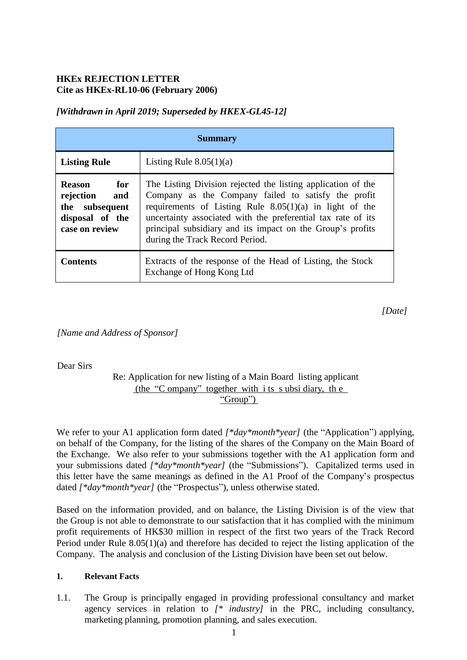# **HKEx REJECTION LETTER Cite as HKEx-RL10-06 (February 2006)**

# *[Withdrawn in April 2019; Superseded by HKEX-GL45-12]*

| <b>Summary</b>                                                                               |                                                                                                                                                                                                                                                                                                                                                   |
|----------------------------------------------------------------------------------------------|---------------------------------------------------------------------------------------------------------------------------------------------------------------------------------------------------------------------------------------------------------------------------------------------------------------------------------------------------|
| <b>Listing Rule</b>                                                                          | Listing Rule $8.05(1)(a)$                                                                                                                                                                                                                                                                                                                         |
| <b>Reason</b><br>for<br>rejection and<br>the subsequent<br>disposal of the<br>case on review | The Listing Division rejected the listing application of the<br>Company as the Company failed to satisfy the profit<br>requirements of Listing Rule $8.05(1)(a)$ in light of the<br>uncertainty associated with the preferential tax rate of its<br>principal subsidiary and its impact on the Group's profits<br>during the Track Record Period. |
| <b>Contents</b>                                                                              | Extracts of the response of the Head of Listing, the Stock<br>Exchange of Hong Kong Ltd                                                                                                                                                                                                                                                           |

*[Date]*

*[Name and Address of Sponsor]*

Dear Sirs

## Re: Application for new listing of a Main Board listing applicant (the "C ompany" together with i ts s ubsi diary, th e "Group")

We refer to your A1 application form dated  $\beta^*day^*month^*year$  (the "Application") applying, on behalf of the Company, for the listing of the shares of the Company on the Main Board of the Exchange. We also refer to your submissions together with the A1 application form and your submissions dated *[\*day\*month\*year]* (the "Submissions"). Capitalized terms used in this letter have the same meanings as defined in the A1 Proof of the Company's prospectus dated *[\*day\*month\*year]* (the "Prospectus"), unless otherwise stated.

Based on the information provided, and on balance, the Listing Division is of the view that the Group is not able to demonstrate to our satisfaction that it has complied with the minimum profit requirements of HK\$30 million in respect of the first two years of the Track Record Period under Rule 8.05(1)(a) and therefore has decided to reject the listing application of the Company. The analysis and conclusion of the Listing Division have been set out below.

#### **1. Relevant Facts**

1.1. The Group is principally engaged in providing professional consultancy and market agency services in relation to *[\* industry]* in the PRC, including consultancy, marketing planning, promotion planning, and sales execution.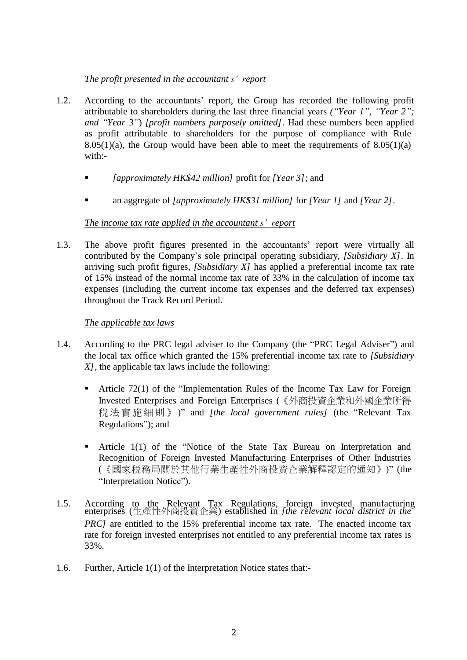# *The profit presented in the accountant s' report*

- 1.2. According to the accountants' report, the Group has recorded the following profit attributable to shareholders during the last three financial years *("Year 1", "Year 2"; and "Year 3"*) *[profit numbers purposely omitted]*. Had these numbers been applied as profit attributable to shareholders for the purpose of compliance with Rule 8.05(1)(a), the Group would have been able to meet the requirements of  $8.05(1)(a)$ with:-
	- *[approximately HK\$42 million]* profit for *[Year 3]*; and
	- an aggregate of *[approximately HK\$31 million]* for *[Year 1]* and *[Year 2]*.

# *The income tax rate applied in the accountant s' report*

1.3. The above profit figures presented in the accountants' report were virtually all contributed by the Company's sole principal operating subsidiary, *[Subsidiary X]*. In arriving such profit figures, *[Subsidiary X]* has applied a preferential income tax rate of 15% instead of the normal income tax rate of 33% in the calculation of income tax expenses (including the current income tax expenses and the deferred tax expenses) throughout the Track Record Period.

# *The applicable tax laws*

- 1.4. According to the PRC legal adviser to the Company (the "PRC Legal Adviser") and the local tax office which granted the 15% preferential income tax rate to *[Subsidiary X]*, the applicable tax laws include the following:
	- Article 72(1) of the "Implementation Rules of the Income Tax Law for Foreign Invested Enterprises and Foreign Enterprises (《外商投資企業和外國企業所得 稅法實施細則 》 )" and *[the local government rules]* (the "Relevant Tax Regulations"); and
	- Article 1(1) of the "Notice of the State Tax Bureau on Interpretation and Recognition of Foreign Invested Manufacturing Enterprises of Other Industries (《國家税務局關於其他行業生產性外商投資企業解釋認定的通知》)" (the "Interpretation Notice").
- 1.5. According to the Relevant Tax Regulations, foreign invested manufacturing enterprises (生產性外商投資企業) established in *[the relevant local district in the PRC]* are entitled to the 15% preferential income tax rate. The enacted income tax rate for foreign invested enterprises not entitled to any preferential income tax rates is 33%.
- 1.6. Further, Article 1(1) of the Interpretation Notice states that:-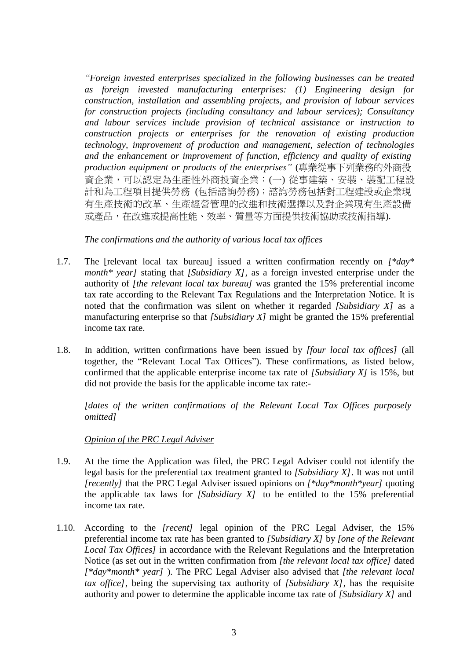*"Foreign invested enterprises specialized in the following businesses can be treated as foreign invested manufacturing enterprises: (1) Engineering design for construction, installation and assembling projects, and provision of labour services for construction projects (including consultancy and labour services); Consultancy and labour services include provision of technical assistance or instruction to construction projects or enterprises for the renovation of existing production technology, improvement of production and management, selection of technologies and the enhancement or improvement of function, efficiency and quality of existing production equipment or products of the enterprises"* (專業從事下列業務的外商投 資企業,可以認定為生產性外商投資企業:(一) 從事建築、安裝、裝配工程設 計和為工程項目提供勞務 (包括諮詢勞務);諮詢勞務包括對工程建設或企業現 有生產技術的改革、生產經營管理的改進和技術選擇以及對企業現有生產設備 或產品,在改進或提高性能、效率、質量等方面提供技術協助或技術指導).

### *The confirmations and the authority of various local tax offices*

- 1.7. The [relevant local tax bureau] issued a written confirmation recently on *[\*day\* month\* year]* stating that *[Subsidiary X]*, as a foreign invested enterprise under the authority of *[the relevant local tax bureau]* was granted the 15% preferential income tax rate according to the Relevant Tax Regulations and the Interpretation Notice. It is noted that the confirmation was silent on whether it regarded *[Subsidiary X]* as a manufacturing enterprise so that *[Subsidiary X]* might be granted the 15% preferential income tax rate.
- 1.8. In addition, written confirmations have been issued by *[four local tax offices]* (all together, the "Relevant Local Tax Offices"). These confirmations, as listed below, confirmed that the applicable enterprise income tax rate of *[Subsidiary X]* is 15%, but did not provide the basis for the applicable income tax rate:-

*[dates of the written confirmations of the Relevant Local Tax Offices purposely omitted]*

## *Opinion of the PRC Legal Adviser*

- 1.9. At the time the Application was filed, the PRC Legal Adviser could not identify the legal basis for the preferential tax treatment granted to *[Subsidiary X]*. It was not until *[recently]* that the PRC Legal Adviser issued opinions on *[\*day\*month\*year]* quoting the applicable tax laws for *[Subsidiary X]* to be entitled to the 15% preferential income tax rate.
- 1.10. According to the *[recent]* legal opinion of the PRC Legal Adviser, the 15% preferential income tax rate has been granted to *[Subsidiary X]* by *[one of the Relevant Local Tax Offices]* in accordance with the Relevant Regulations and the Interpretation Notice (as set out in the written confirmation from *[the relevant local tax office]* dated *[\*day\*month\* year]* ). The PRC Legal Adviser also advised that *[the relevant local tax office]*, being the supervising tax authority of *[Subsidiary X]*, has the requisite authority and power to determine the applicable income tax rate of *[Subsidiary X]* and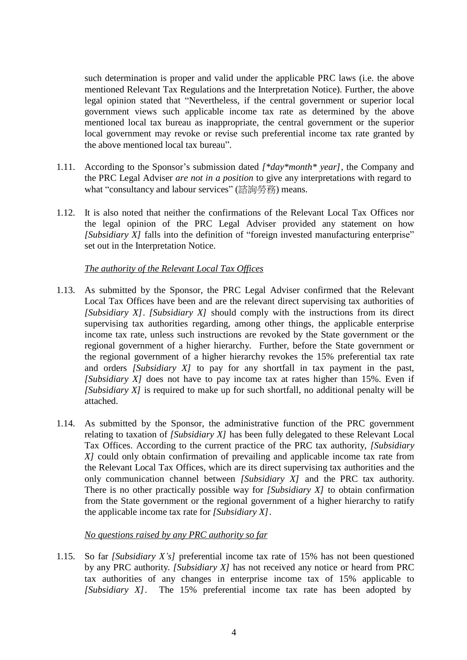such determination is proper and valid under the applicable PRC laws (i.e. the above mentioned Relevant Tax Regulations and the Interpretation Notice). Further, the above legal opinion stated that "Nevertheless, if the central government or superior local government views such applicable income tax rate as determined by the above mentioned local tax bureau as inappropriate, the central government or the superior local government may revoke or revise such preferential income tax rate granted by the above mentioned local tax bureau".

- 1.11. According to the Sponsor's submission dated *[\*day\*month\* year]*, the Company and the PRC Legal Adviser *are not in a position* to give any interpretations with regard to what "consultancy and labour services" (諮詢勞務) means.
- 1.12. It is also noted that neither the confirmations of the Relevant Local Tax Offices nor the legal opinion of the PRC Legal Adviser provided any statement on how *[Subsidiary X]* falls into the definition of "foreign invested manufacturing enterprise" set out in the Interpretation Notice.

## *The authority of the Relevant Local Tax Offices*

- 1.13. As submitted by the Sponsor, the PRC Legal Adviser confirmed that the Relevant Local Tax Offices have been and are the relevant direct supervising tax authorities of *[Subsidiary X]*. *[Subsidiary X]* should comply with the instructions from its direct supervising tax authorities regarding, among other things, the applicable enterprise income tax rate, unless such instructions are revoked by the State government or the regional government of a higher hierarchy. Further, before the State government or the regional government of a higher hierarchy revokes the 15% preferential tax rate and orders *[Subsidiary X]* to pay for any shortfall in tax payment in the past, *[Subsidiary X]* does not have to pay income tax at rates higher than 15%. Even if *[Subsidiary X]* is required to make up for such shortfall, no additional penalty will be attached.
- 1.14. As submitted by the Sponsor, the administrative function of the PRC government relating to taxation of *[Subsidiary X]* has been fully delegated to these Relevant Local Tax Offices. According to the current practice of the PRC tax authority, *[Subsidiary X]* could only obtain confirmation of prevailing and applicable income tax rate from the Relevant Local Tax Offices, which are its direct supervising tax authorities and the only communication channel between *[Subsidiary X]* and the PRC tax authority. There is no other practically possible way for *[Subsidiary X]* to obtain confirmation from the State government or the regional government of a higher hierarchy to ratify the applicable income tax rate for *[Subsidiary X]*.

#### *No questions raised by any PRC authority so far*

1.15. So far *[Subsidiary X's]* preferential income tax rate of 15% has not been questioned by any PRC authority. *[Subsidiary X]* has not received any notice or heard from PRC tax authorities of any changes in enterprise income tax of 15% applicable to *[Subsidiary X]*. The 15% preferential income tax rate has been adopted by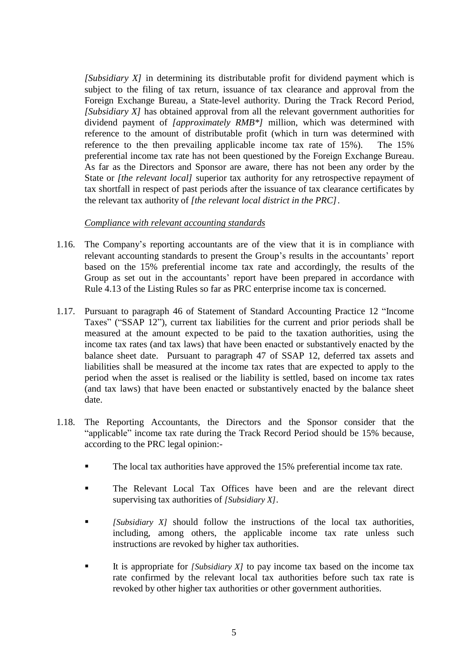*[Subsidiary X]* in determining its distributable profit for dividend payment which is subject to the filing of tax return, issuance of tax clearance and approval from the Foreign Exchange Bureau, a State-level authority. During the Track Record Period, *[Subsidiary X]* has obtained approval from all the relevant government authorities for dividend payment of *[approximately RMB\*]* million, which was determined with reference to the amount of distributable profit (which in turn was determined with reference to the then prevailing applicable income tax rate of 15%). The 15% preferential income tax rate has not been questioned by the Foreign Exchange Bureau. As far as the Directors and Sponsor are aware, there has not been any order by the State or *[the relevant local]* superior tax authority for any retrospective repayment of tax shortfall in respect of past periods after the issuance of tax clearance certificates by the relevant tax authority of *[the relevant local district in the PRC]*.

#### *Compliance with relevant accounting standards*

- 1.16. The Company's reporting accountants are of the view that it is in compliance with relevant accounting standards to present the Group's results in the accountants' report based on the 15% preferential income tax rate and accordingly, the results of the Group as set out in the accountants' report have been prepared in accordance with Rule 4.13 of the Listing Rules so far as PRC enterprise income tax is concerned.
- 1.17. Pursuant to paragraph 46 of Statement of Standard Accounting Practice 12 "Income Taxes" ("SSAP 12"), current tax liabilities for the current and prior periods shall be measured at the amount expected to be paid to the taxation authorities, using the income tax rates (and tax laws) that have been enacted or substantively enacted by the balance sheet date. Pursuant to paragraph 47 of SSAP 12, deferred tax assets and liabilities shall be measured at the income tax rates that are expected to apply to the period when the asset is realised or the liability is settled, based on income tax rates (and tax laws) that have been enacted or substantively enacted by the balance sheet date.
- 1.18. The Reporting Accountants, the Directors and the Sponsor consider that the "applicable" income tax rate during the Track Record Period should be 15% because, according to the PRC legal opinion:-
	- The local tax authorities have approved the 15% preferential income tax rate.
	- The Relevant Local Tax Offices have been and are the relevant direct supervising tax authorities of *[Subsidiary X]*.
	- *[Subsidiary X]* should follow the instructions of the local tax authorities, including, among others, the applicable income tax rate unless such instructions are revoked by higher tax authorities.
	- It is appropriate for *[Subsidiary X]* to pay income tax based on the income tax rate confirmed by the relevant local tax authorities before such tax rate is revoked by other higher tax authorities or other government authorities.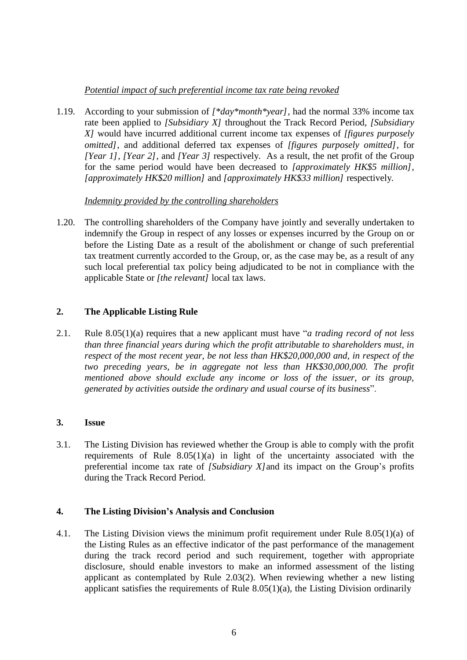# *Potential impact of such preferential income tax rate being revoked*

1.19. According to your submission of *[\*day\*month\*year]*, had the normal 33% income tax rate been applied to *[Subsidiary X]* throughout the Track Record Period, *[Subsidiary X]* would have incurred additional current income tax expenses of *[figures purposely omitted]*, and additional deferred tax expenses of *[figures purposely omitted]*, for *[Year 1], [Year 2],* and *[Year 3]* respectively. As a result, the net profit of the Group for the same period would have been decreased to *[approximately HK\$5 million]*, *[approximately HK\$20 million]* and *[approximately HK\$33 million]* respectively.

## *Indemnity provided by the controlling shareholders*

1.20. The controlling shareholders of the Company have jointly and severally undertaken to indemnify the Group in respect of any losses or expenses incurred by the Group on or before the Listing Date as a result of the abolishment or change of such preferential tax treatment currently accorded to the Group, or, as the case may be, as a result of any such local preferential tax policy being adjudicated to be not in compliance with the applicable State or *[the relevant]* local tax laws.

## **2. The Applicable Listing Rule**

2.1. Rule 8.05(1)(a) requires that a new applicant must have "*a trading record of not less than three financial years during which the profit attributable to shareholders must, in respect of the most recent year, be not less than HK\$20,000,000 and, in respect of the two preceding years, be in aggregate not less than HK\$30,000,000. The profit mentioned above should exclude any income or loss of the issuer, or its group, generated by activities outside the ordinary and usual course of its business*".

## **3. Issue**

3.1. The Listing Division has reviewed whether the Group is able to comply with the profit requirements of Rule  $8.05(1)(a)$  in light of the uncertainty associated with the preferential income tax rate of *[Subsidiary X]*and its impact on the Group's profits during the Track Record Period.

## **4. The Listing Division's Analysis and Conclusion**

4.1. The Listing Division views the minimum profit requirement under Rule 8.05(1)(a) of the Listing Rules as an effective indicator of the past performance of the management during the track record period and such requirement, together with appropriate disclosure, should enable investors to make an informed assessment of the listing applicant as contemplated by Rule 2.03(2). When reviewing whether a new listing applicant satisfies the requirements of Rule 8.05(1)(a), the Listing Division ordinarily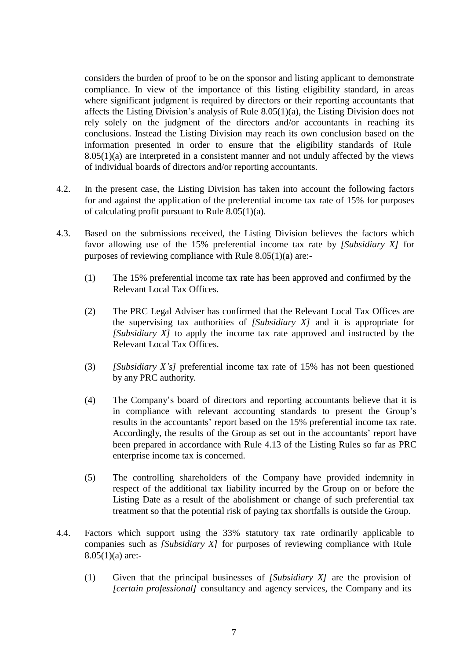considers the burden of proof to be on the sponsor and listing applicant to demonstrate compliance. In view of the importance of this listing eligibility standard, in areas where significant judgment is required by directors or their reporting accountants that affects the Listing Division's analysis of Rule 8.05(1)(a), the Listing Division does not rely solely on the judgment of the directors and/or accountants in reaching its conclusions. Instead the Listing Division may reach its own conclusion based on the information presented in order to ensure that the eligibility standards of Rule 8.05(1)(a) are interpreted in a consistent manner and not unduly affected by the views of individual boards of directors and/or reporting accountants.

- 4.2. In the present case, the Listing Division has taken into account the following factors for and against the application of the preferential income tax rate of 15% for purposes of calculating profit pursuant to Rule 8.05(1)(a).
- 4.3. Based on the submissions received, the Listing Division believes the factors which favor allowing use of the 15% preferential income tax rate by *[Subsidiary X]* for purposes of reviewing compliance with Rule 8.05(1)(a) are:-
	- (1) The 15% preferential income tax rate has been approved and confirmed by the Relevant Local Tax Offices.
	- (2) The PRC Legal Adviser has confirmed that the Relevant Local Tax Offices are the supervising tax authorities of *[Subsidiary X]* and it is appropriate for *[Subsidiary X]* to apply the income tax rate approved and instructed by the Relevant Local Tax Offices.
	- (3) *[Subsidiary X's]* preferential income tax rate of 15% has not been questioned by any PRC authority.
	- (4) The Company's board of directors and reporting accountants believe that it is in compliance with relevant accounting standards to present the Group's results in the accountants' report based on the 15% preferential income tax rate. Accordingly, the results of the Group as set out in the accountants' report have been prepared in accordance with Rule 4.13 of the Listing Rules so far as PRC enterprise income tax is concerned.
	- (5) The controlling shareholders of the Company have provided indemnity in respect of the additional tax liability incurred by the Group on or before the Listing Date as a result of the abolishment or change of such preferential tax treatment so that the potential risk of paying tax shortfalls is outside the Group.
- 4.4. Factors which support using the 33% statutory tax rate ordinarily applicable to companies such as *[Subsidiary X]* for purposes of reviewing compliance with Rule 8.05(1)(a) are:-
	- (1) Given that the principal businesses of *[Subsidiary X]* are the provision of *[certain professional]* consultancy and agency services, the Company and its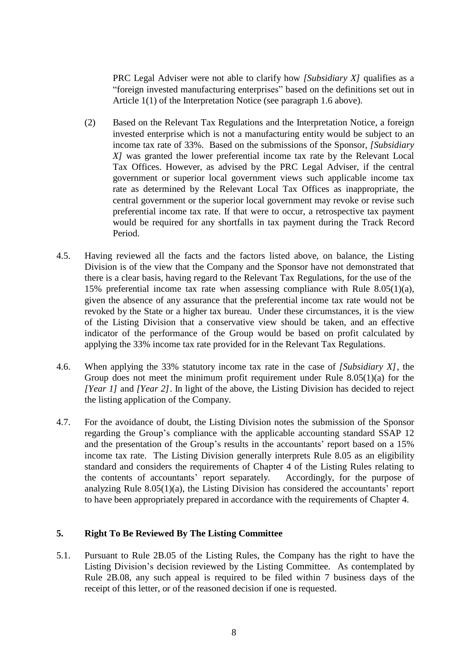PRC Legal Adviser were not able to clarify how *[Subsidiary X]* qualifies as a "foreign invested manufacturing enterprises" based on the definitions set out in Article 1(1) of the Interpretation Notice (see paragraph 1.6 above).

- (2) Based on the Relevant Tax Regulations and the Interpretation Notice, a foreign invested enterprise which is not a manufacturing entity would be subject to an income tax rate of 33%. Based on the submissions of the Sponsor, *[Subsidiary X]* was granted the lower preferential income tax rate by the Relevant Local Tax Offices. However, as advised by the PRC Legal Adviser, if the central government or superior local government views such applicable income tax rate as determined by the Relevant Local Tax Offices as inappropriate, the central government or the superior local government may revoke or revise such preferential income tax rate. If that were to occur, a retrospective tax payment would be required for any shortfalls in tax payment during the Track Record Period.
- 4.5. Having reviewed all the facts and the factors listed above, on balance, the Listing Division is of the view that the Company and the Sponsor have not demonstrated that there is a clear basis, having regard to the Relevant Tax Regulations, for the use of the 15% preferential income tax rate when assessing compliance with Rule 8.05(1)(a), given the absence of any assurance that the preferential income tax rate would not be revoked by the State or a higher tax bureau. Under these circumstances, it is the view of the Listing Division that a conservative view should be taken, and an effective indicator of the performance of the Group would be based on profit calculated by applying the 33% income tax rate provided for in the Relevant Tax Regulations.
- 4.6. When applying the 33% statutory income tax rate in the case of *[Subsidiary X]*, the Group does not meet the minimum profit requirement under Rule 8.05(1)(a) for the *[Year 1]* and *[Year 2]*. In light of the above, the Listing Division has decided to reject the listing application of the Company.
- 4.7. For the avoidance of doubt, the Listing Division notes the submission of the Sponsor regarding the Group's compliance with the applicable accounting standard SSAP 12 and the presentation of the Group's results in the accountants' report based on a 15% income tax rate. The Listing Division generally interprets Rule 8.05 as an eligibility standard and considers the requirements of Chapter 4 of the Listing Rules relating to the contents of accountants' report separately. Accordingly, for the purpose of analyzing Rule 8.05(1)(a), the Listing Division has considered the accountants' report to have been appropriately prepared in accordance with the requirements of Chapter 4.

#### **5. Right To Be Reviewed By The Listing Committee**

5.1. Pursuant to Rule 2B.05 of the Listing Rules, the Company has the right to have the Listing Division's decision reviewed by the Listing Committee. As contemplated by Rule 2B.08, any such appeal is required to be filed within 7 business days of the receipt of this letter, or of the reasoned decision if one is requested.